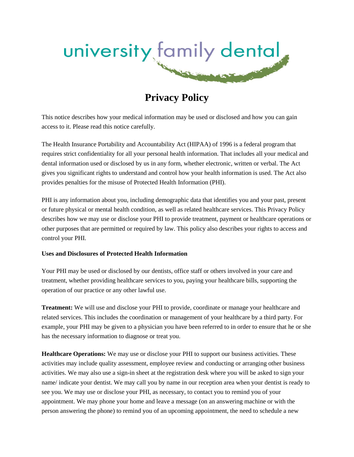

# **Privacy Policy**

This notice describes how your medical information may be used or disclosed and how you can gain access to it. Please read this notice carefully.

The Health Insurance Portability and Accountability Act (HIPAA) of 1996 is a federal program that requires strict confidentiality for all your personal health information. That includes all your medical and dental information used or disclosed by us in any form, whether electronic, written or verbal. The Act gives you significant rights to understand and control how your health information is used. The Act also provides penalties for the misuse of Protected Health Information (PHI).

PHI is any information about you, including demographic data that identifies you and your past, present or future physical or mental health condition, as well as related healthcare services. This Privacy Policy describes how we may use or disclose your PHI to provide treatment, payment or healthcare operations or other purposes that are permitted or required by law. This policy also describes your rights to access and control your PHI.

### **Uses and Disclosures of Protected Health Information**

Your PHI may be used or disclosed by our dentists, office staff or others involved in your care and treatment, whether providing healthcare services to you, paying your healthcare bills, supporting the operation of our practice or any other lawful use.

**Treatment:** We will use and disclose your PHI to provide, coordinate or manage your healthcare and related services. This includes the coordination or management of your healthcare by a third party. For example, your PHI may be given to a physician you have been referred to in order to ensure that he or she has the necessary information to diagnose or treat you.

**Healthcare Operations:** We may use or disclose your PHI to support our business activities. These activities may include quality assessment, employee review and conducting or arranging other business activities. We may also use a sign-in sheet at the registration desk where you will be asked to sign your name/ indicate your dentist. We may call you by name in our reception area when your dentist is ready to see you. We may use or disclose your PHI, as necessary, to contact you to remind you of your appointment. We may phone your home and leave a message (on an answering machine or with the person answering the phone) to remind you of an upcoming appointment, the need to schedule a new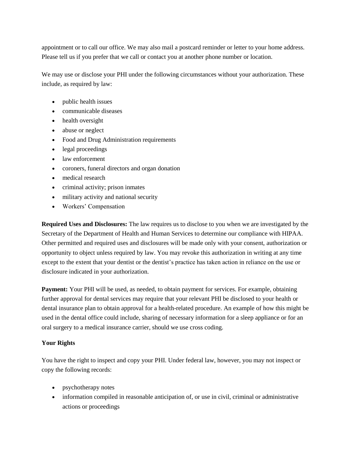appointment or to call our office. We may also mail a postcard reminder or letter to your home address. Please tell us if you prefer that we call or contact you at another phone number or location.

We may use or disclose your PHI under the following circumstances without your authorization. These include, as required by law:

- public health issues
- communicable diseases
- health oversight
- abuse or neglect
- Food and Drug Administration requirements
- legal proceedings
- law enforcement
- coroners, funeral directors and organ donation
- medical research
- criminal activity; prison inmates
- military activity and national security
- Workers' Compensation

**Required Uses and Disclosures:** The law requires us to disclose to you when we are investigated by the Secretary of the Department of Health and Human Services to determine our compliance with HIPAA. Other permitted and required uses and disclosures will be made only with your consent, authorization or opportunity to object unless required by law. You may revoke this authorization in writing at any time except to the extent that your dentist or the dentist's practice has taken action in reliance on the use or disclosure indicated in your authorization.

**Payment:** Your PHI will be used, as needed, to obtain payment for services. For example, obtaining further approval for dental services may require that your relevant PHI be disclosed to your health or dental insurance plan to obtain approval for a health-related procedure. An example of how this might be used in the dental office could include, sharing of necessary information for a sleep appliance or for an oral surgery to a medical insurance carrier, should we use cross coding.

### **Your Rights**

You have the right to inspect and copy your PHI. Under federal law, however, you may not inspect or copy the following records:

- psychotherapy notes
- information compiled in reasonable anticipation of, or use in civil, criminal or administrative actions or proceedings